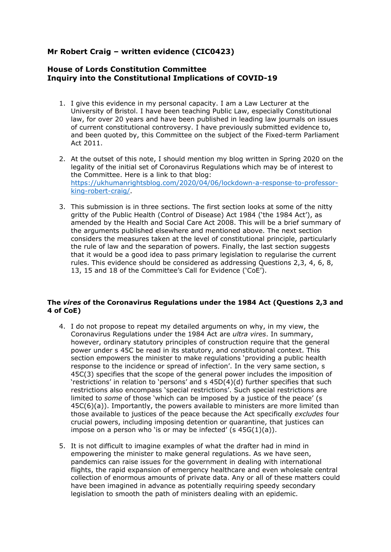# **Mr Robert Craig – written evidence (CIC0423)**

## **House of Lords Constitution Committee Inquiry into the Constitutional Implications of COVID-19**

- 1. I give this evidence in my personal capacity. I am a Law Lecturer at the University of Bristol. I have been teaching Public Law, especially Constitutional law, for over 20 years and have been published in leading law journals on issues of current constitutional controversy. I have previously submitted evidence to, and been quoted by, this Committee on the subject of the Fixed-term Parliament Act 2011.
- 2. At the outset of this note, I should mention my blog written in Spring 2020 on the legality of the initial set of Coronavirus Regulations which may be of interest to the Committee. Here is a link to that blog: [https://ukhumanrightsblog.com/2020/04/06/lockdown-a-response-to-professor](https://ukhumanrightsblog.com/2020/04/06/lockdown-a-response-to-professor-king-robert-craig/)[king-robert-craig/.](https://ukhumanrightsblog.com/2020/04/06/lockdown-a-response-to-professor-king-robert-craig/)
- 3. This submission is in three sections. The first section looks at some of the nitty gritty of the Public Health (Control of Disease) Act 1984 ('the 1984 Act'), as amended by the Health and Social Care Act 2008. This will be a brief summary of the arguments published elsewhere and mentioned above. The next section considers the measures taken at the level of constitutional principle, particularly the rule of law and the separation of powers. Finally, the last section suggests that it would be a good idea to pass primary legislation to regularise the current rules. This evidence should be considered as addressing Questions 2,3, 4, 6, 8, 13, 15 and 18 of the Committee's Call for Evidence ('CoE').

### **The** *vires* **of the Coronavirus Regulations under the 1984 Act (Questions 2,3 and 4 of CoE)**

- 4. I do not propose to repeat my detailed arguments on why, in my view, the Coronavirus Regulations under the 1984 Act are *ultra vires*. In summary, however, ordinary statutory principles of construction require that the general power under s 45C be read in its statutory, and constitutional context. This section empowers the minister to make regulations 'providing a public health response to the incidence or spread of infection'. In the very same section, s 45C(3) specifies that the scope of the general power includes the imposition of 'restrictions' in relation to 'persons' and s 45D(4)(d) further specifies that such restrictions also encompass 'special restrictions'. Such special restrictions are limited to *some* of those 'which can be imposed by a justice of the peace' (s 45C(6)(a)). Importantly, the powers available to ministers are more limited than those available to justices of the peace because the Act specifically *excludes* four crucial powers, including imposing detention or quarantine, that justices can impose on a person who 'is or may be infected'  $(s 45G(1)(a))$ .
- 5. It is not difficult to imagine examples of what the drafter had in mind in empowering the minister to make general regulations. As we have seen, pandemics can raise issues for the government in dealing with international flights, the rapid expansion of emergency healthcare and even wholesale central collection of enormous amounts of private data. Any or all of these matters could have been imagined in advance as potentially requiring speedy secondary legislation to smooth the path of ministers dealing with an epidemic.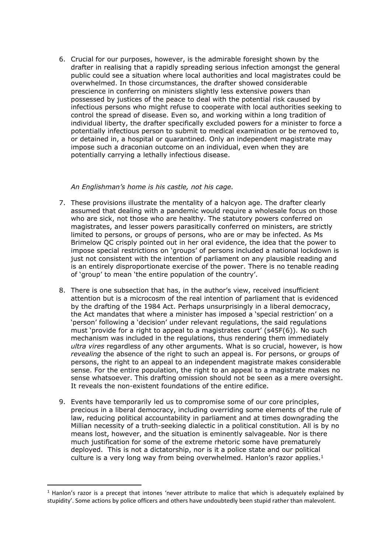6. Crucial for our purposes, however, is the admirable foresight shown by the drafter in realising that a rapidly spreading serious infection amongst the general public could see a situation where local authorities and local magistrates could be overwhelmed. In those circumstances, the drafter showed considerable prescience in conferring on ministers slightly less extensive powers than possessed by justices of the peace to deal with the potential risk caused by infectious persons who might refuse to cooperate with local authorities seeking to control the spread of disease. Even so, and working within a long tradition of individual liberty, the drafter specifically excluded powers for a minister to force a potentially infectious person to submit to medical examination or be removed to, or detained in, a hospital or quarantined. Only an independent magistrate may impose such a draconian outcome on an individual, even when they are potentially carrying a lethally infectious disease.

*An Englishman's home is his castle, not his cage.*

- 7. These provisions illustrate the mentality of a halcyon age. The drafter clearly assumed that dealing with a pandemic would require a wholesale focus on those who are sick, not those who are healthy. The statutory powers conferred on magistrates, and lesser powers parasitically conferred on ministers, are strictly limited to persons, or groups of persons, who are or may be infected. As Ms Brimelow QC crisply pointed out in her oral evidence, the idea that the power to impose special restrictions on 'groups' of persons included a national lockdown is just not consistent with the intention of parliament on any plausible reading and is an entirely disproportionate exercise of the power. There is no tenable reading of 'group' to mean 'the entire population of the country'.
- 8. There is one subsection that has, in the author's view, received insufficient attention but is a microcosm of the real intention of parliament that is evidenced by the drafting of the 1984 Act. Perhaps unsurprisingly in a liberal democracy, the Act mandates that where a minister has imposed a 'special restriction' on a 'person' following a 'decision' under relevant regulations, the said regulations must 'provide for a right to appeal to a magistrates court' (s45F(6)). No such mechanism was included in the regulations, thus rendering them immediately *ultra vires* regardless of any other arguments. What is so crucial, however, is how *revealing* the absence of the right to such an appeal is. For persons, or groups of persons, the right to an appeal to an independent magistrate makes considerable sense. For the entire population, the right to an appeal to a magistrate makes no sense whatsoever. This drafting omission should not be seen as a mere oversight. It reveals the non-existent foundations of the entire edifice.
- 9. Events have temporarily led us to compromise some of our core principles, precious in a liberal democracy, including overriding some elements of the rule of law, reducing political accountability in parliament and at times downgrading the Millian necessity of a truth-seeking dialectic in a political constitution. All is by no means lost, however, and the situation is eminently salvageable. Nor is there much justification for some of the extreme rhetoric some have prematurely deployed. This is not a dictatorship, nor is it a police state and our political culture is a very long way from being overwhelmed. Hanlon's razor applies. $1$

<sup>1</sup> Hanlon's razor is a precept that intones 'never attribute to malice that which is adequately explained by stupidity'. Some actions by police officers and others have undoubtedly been stupid rather than malevolent.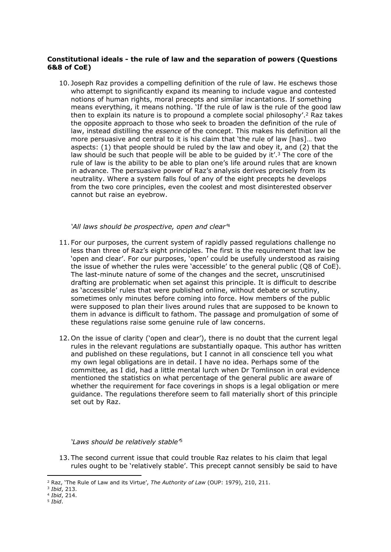### **Constitutional ideals - the rule of law and the separation of powers (Questions 6&8 of CoE)**

10. Joseph Raz provides a compelling definition of the rule of law. He eschews those who attempt to significantly expand its meaning to include vague and contested notions of human rights, moral precepts and similar incantations. If something means everything, it means nothing. 'If the rule of law is the rule of the good law then to explain its nature is to propound a complete social philosophy'.<sup>2</sup> Raz takes the opposite approach to those who seek to broaden the definition of the rule of law, instead distilling the *essence* of the concept. This makes his definition all the more persuasive and central to it is his claim that 'the rule of law [has]… two aspects: (1) that people should be ruled by the law and obey it, and (2) that the law should be such that people will be able to be quided by it'.<sup>3</sup> The core of the rule of law is the ability to be able to plan one's life around rules that are known in advance. The persuasive power of Raz's analysis derives precisely from its neutrality. Where a system falls foul of any of the eight precepts he develops from the two core principles, even the coolest and most disinterested observer cannot but raise an eyebrow.

#### *'All laws should be prospective, open and clear'*<sup>4</sup>

- 11. For our purposes, the current system of rapidly passed regulations challenge no less than three of Raz's eight principles. The first is the requirement that law be 'open and clear'. For our purposes, 'open' could be usefully understood as raising the issue of whether the rules were 'accessible' to the general public (Q8 of CoE). The last-minute nature of some of the changes and the secret, unscrutinised drafting are problematic when set against this principle. It is difficult to describe as 'accessible' rules that were published online, without debate or scrutiny, sometimes only minutes before coming into force. How members of the public were supposed to plan their lives around rules that are supposed to be known to them in advance is difficult to fathom. The passage and promulgation of some of these regulations raise some genuine rule of law concerns.
- 12. On the issue of clarity ('open and clear'), there is no doubt that the current legal rules in the relevant regulations are substantially opaque. This author has written and published on these regulations, but I cannot in all conscience tell you what my own legal obligations are in detail. I have no idea. Perhaps some of the committee, as I did, had a little mental lurch when Dr Tomlinson in oral evidence mentioned the statistics on what percentage of the general public are aware of whether the requirement for face coverings in shops is a legal obligation or mere guidance. The regulations therefore seem to fall materially short of this principle set out by Raz.

*'Laws should be relatively stable'*<sup>5</sup>

13. The second current issue that could trouble Raz relates to his claim that legal rules ought to be 'relatively stable'. This precept cannot sensibly be said to have

<sup>2</sup> Raz, 'The Rule of Law and its Virtue', *The Authority of Law* (OUP: 1979), 210, 211.

<sup>3</sup> *Ibid*, 213.

<sup>4</sup> *Ibid*, 214.

<sup>5</sup> *Ibid*.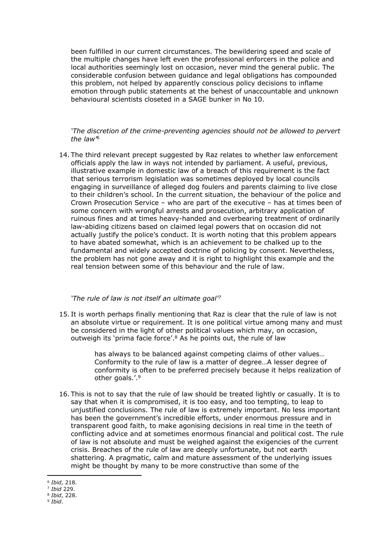been fulfilled in our current circumstances. The bewildering speed and scale of the multiple changes have left even the professional enforcers in the police and local authorities seemingly lost on occasion, never mind the general public. The considerable confusion between guidance and legal obligations has compounded this problem, not helped by apparently conscious policy decisions to inflame emotion through public statements at the behest of unaccountable and unknown behavioural scientists closeted in a SAGE bunker in No 10.

*'The discretion of the crime-preventing agencies should not be allowed to pervert the law'*<sup>6</sup>

14. The third relevant precept suggested by Raz relates to whether law enforcement officials apply the law in ways not intended by parliament. A useful, previous, illustrative example in domestic law of a breach of this requirement is the fact that serious terrorism legislation was sometimes deployed by local councils engaging in surveillance of alleged dog foulers and parents claiming to live close to their children's school. In the current situation, the behaviour of the police and Crown Prosecution Service – who are part of the executive – has at times been of some concern with wrongful arrests and prosecution, arbitrary application of ruinous fines and at times heavy-handed and overbearing treatment of ordinarily law-abiding citizens based on claimed legal powers that on occasion did not actually justify the police's conduct. It is worth noting that this problem appears to have abated somewhat, which is an achievement to be chalked up to the fundamental and widely accepted doctrine of policing by consent. Nevertheless, the problem has not gone away and it is right to highlight this example and the real tension between some of this behaviour and the rule of law.

#### *'The rule of law is not itself an ultimate goal'<sup>7</sup>*

15. It is worth perhaps finally mentioning that Raz is clear that the rule of law is not an absolute virtue or requirement. It is one political virtue among many and must be considered in the light of other political values which may, on occasion, outweigh its 'prima facie force'.<sup>8</sup> As he points out, the rule of law

> has always to be balanced against competing claims of other values… Conformity to the rule of law is a matter of degree…A lesser degree of conformity is often to be preferred precisely because it helps realization of other goals.'.<sup>9</sup>

16. This is not to say that the rule of law should be treated lightly or casually. It is to say that when it is compromised, it is too easy, and too tempting, to leap to unjustified conclusions. The rule of law is extremely important. No less important has been the government's incredible efforts, under enormous pressure and in transparent good faith, to make agonising decisions in real time in the teeth of conflicting advice and at sometimes enormous financial and political cost. The rule of law is not absolute and must be weighed against the exigencies of the current crisis. Breaches of the rule of law are deeply unfortunate, but not earth shattering. A pragmatic, calm and mature assessment of the underlying issues might be thought by many to be more constructive than some of the

<sup>6</sup> *Ibid*, 218.

<sup>7</sup> *Ibid* 229.

<sup>8</sup> *Ibid*, 228.

<sup>9</sup> *Ibid*.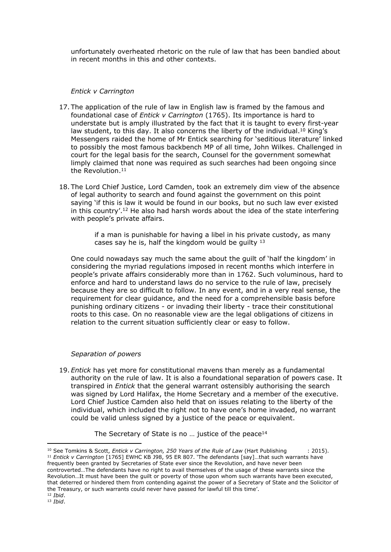unfortunately overheated rhetoric on the rule of law that has been bandied about in recent months in this and other contexts.

### *Entick v Carrington*

- 17. The application of the rule of law in English law is framed by the famous and foundational case of *Entick v Carrington* (1765). Its importance is hard to understate but is amply illustrated by the fact that it is taught to every first-year law student, to this day. It also concerns the liberty of the individual.<sup>10</sup> King's Messengers raided the home of Mr Entick searching for 'seditious literature' linked to possibly the most famous backbench MP of all time, John Wilkes. Challenged in court for the legal basis for the search, Counsel for the government somewhat limply claimed that none was required as such searches had been ongoing since the Revolution.<sup>11</sup>
- 18. The Lord Chief Justice, Lord Camden, took an extremely dim view of the absence of legal authority to search and found against the government on this point saying 'if this is law it would be found in our books, but no such law ever existed in this country'.<sup>12</sup> He also had harsh words about the idea of the state interfering with people's private affairs.

if a man is punishable for having a libel in his private custody, as many cases say he is, half the kingdom would be quilty 13

One could nowadays say much the same about the guilt of 'half the kingdom' in considering the myriad regulations imposed in recent months which interfere in people's private affairs considerably more than in 1762. Such voluminous, hard to enforce and hard to understand laws do no service to the rule of law, precisely because they are so difficult to follow. In any event, and in a very real sense, the requirement for clear guidance, and the need for a comprehensible basis before punishing ordinary citizens - or invading their liberty - trace their constitutional roots to this case. On no reasonable view are the legal obligations of citizens in relation to the current situation sufficiently clear or easy to follow.

#### *Separation of powers*

19. *Entick* has yet more for constitutional mavens than merely as a fundamental authority on the rule of law. It is also a foundational separation of powers case. It transpired in *Entick* that the general warrant ostensibly authorising the search was signed by Lord Halifax, the Home Secretary and a member of the executive. Lord Chief Justice Camden also held that on issues relating to the liberty of the individual, which included the right not to have one's home invaded, no warrant could be valid unless signed by a justice of the peace or equivalent.

The Secretary of State is no ... justice of the peace<sup>14</sup>

<sup>10</sup> See Tomkins & Scott, *Entick v Carrington, 250 Years of the Rule of Law* (Hart Publishing : 2015). <sup>11</sup> *Entick v Carrington* [1765] EWHC KB J98, 95 ER 807. 'The defendants [say]…that such warrants have frequently been granted by Secretaries of State ever since the Revolution, and have never been controverted…The defendants have no right to avail themselves of the usage of these warrants since the Revolution…It must have been the guilt or poverty of those upon whom such warrants have been executed, that deterred or hindered them from contending against the power of a Secretary of State and the Solicitor of the Treasury, or such warrants could never have passed for lawful till this time'. <sup>12</sup> *Ibid*.

<sup>13</sup> *Ibid*.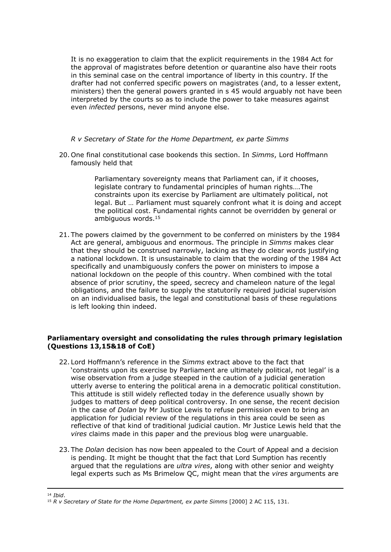It is no exaggeration to claim that the explicit requirements in the 1984 Act for the approval of magistrates before detention or quarantine also have their roots in this seminal case on the central importance of liberty in this country. If the drafter had not conferred specific powers on magistrates (and, to a lesser extent, ministers) then the general powers granted in s 45 would arguably not have been interpreted by the courts so as to include the power to take measures against even *infected* persons, never mind anyone else.

*R v Secretary of State for the Home Department, ex parte Simms*

20. One final constitutional case bookends this section. In *Simms*, Lord Hoffmann famously held that

> Parliamentary sovereignty means that Parliament can, if it chooses, legislate contrary to fundamental principles of human rights….The constraints upon its exercise by Parliament are ultimately political, not legal. But … Parliament must squarely confront what it is doing and accept the political cost. Fundamental rights cannot be overridden by general or ambiguous words.<sup>15</sup>

21. The powers claimed by the government to be conferred on ministers by the 1984 Act are general, ambiguous and enormous. The principle in *Simms* makes clear that they should be construed narrowly, lacking as they do clear words justifying a national lockdown. It is unsustainable to claim that the wording of the 1984 Act specifically and unambiguously confers the power on ministers to impose a national lockdown on the people of this country. When combined with the total absence of prior scrutiny, the speed, secrecy and chameleon nature of the legal obligations, and the failure to supply the statutorily required judicial supervision on an individualised basis, the legal and constitutional basis of these regulations is left looking thin indeed.

### **Parliamentary oversight and consolidating the rules through primary legislation (Questions 13,15&18 of CoE)**

- 22.Lord Hoffmann's reference in the *Simms* extract above to the fact that 'constraints upon its exercise by Parliament are ultimately political, not legal' is a wise observation from a judge steeped in the caution of a judicial generation utterly averse to entering the political arena in a democratic political constitution. This attitude is still widely reflected today in the deference usually shown by judges to matters of deep political controversy. In one sense, the recent decision in the case of *Dolan* by Mr Justice Lewis to refuse permission even to bring an application for judicial review of the regulations in this area could be seen as reflective of that kind of traditional judicial caution. Mr Justice Lewis held that the *vires* claims made in this paper and the previous blog were unarguable.
- 23. The *Dolan* decision has now been appealed to the Court of Appeal and a decision is pending. It might be thought that the fact that Lord Sumption has recently argued that the regulations are *ultra vires*, along with other senior and weighty legal experts such as Ms Brimelow QC, might mean that the *vires* arguments are

<sup>14</sup> *Ibid*.

<sup>15</sup> *R v Secretary of State for the Home Department, ex parte Simms* [2000] 2 AC 115, 131.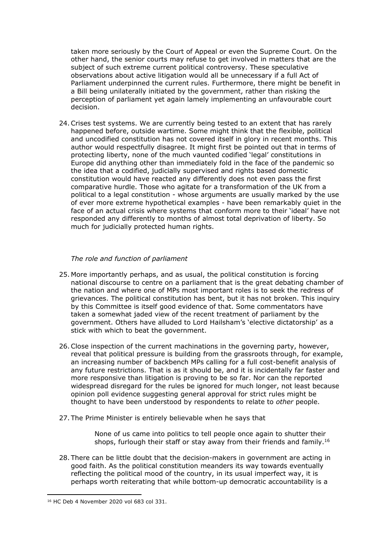taken more seriously by the Court of Appeal or even the Supreme Court. On the other hand, the senior courts may refuse to get involved in matters that are the subject of such extreme current political controversy. These speculative observations about active litigation would all be unnecessary if a full Act of Parliament underpinned the current rules. Furthermore, there might be benefit in a Bill being unilaterally initiated by the government, rather than risking the perception of parliament yet again lamely implementing an unfavourable court decision.

24.Crises test systems. We are currently being tested to an extent that has rarely happened before, outside wartime. Some might think that the flexible, political and uncodified constitution has not covered itself in glory in recent months. This author would respectfully disagree. It might first be pointed out that in terms of protecting liberty, none of the much vaunted codified 'legal' constitutions in Europe did anything other than immediately fold in the face of the pandemic so the idea that a codified, judicially supervised and rights based domestic constitution would have reacted any differently does not even pass the first comparative hurdle. Those who agitate for a transformation of the UK from a political to a legal constitution - whose arguments are usually marked by the use of ever more extreme hypothetical examples - have been remarkably quiet in the face of an actual crisis where systems that conform more to their 'ideal' have not responded any differently to months of almost total deprivation of liberty. So much for judicially protected human rights.

#### *The role and function of parliament*

- 25. More importantly perhaps, and as usual, the political constitution is forcing national discourse to centre on a parliament that is the great debating chamber of the nation and where one of MPs most important roles is to seek the redress of grievances. The political constitution has bent, but it has not broken. This inquiry by this Committee is itself good evidence of that. Some commentators have taken a somewhat jaded view of the recent treatment of parliament by the government. Others have alluded to Lord Hailsham's 'elective dictatorship' as a stick with which to beat the government.
- 26.Close inspection of the current machinations in the governing party, however, reveal that political pressure is building from the grassroots through, for example, an increasing number of backbench MPs calling for a full cost-benefit analysis of any future restrictions. That is as it should be, and it is incidentally far faster and more responsive than litigation is proving to be so far. Nor can the reported widespread disregard for the rules be ignored for much longer, not least because opinion poll evidence suggesting general approval for strict rules might be thought to have been understood by respondents to relate to *other* people.
- 27. The Prime Minister is entirely believable when he says that

None of us came into politics to tell people once again to shutter their shops, furlough their staff or stay away from their friends and family.<sup>16</sup>

28. There can be little doubt that the decision-makers in government are acting in good faith. As the political constitution meanders its way towards eventually reflecting the political mood of the country, in its usual imperfect way, it is perhaps worth reiterating that while bottom-up democratic accountability is a

<sup>16</sup> HC Deb 4 November 2020 vol 683 col 331.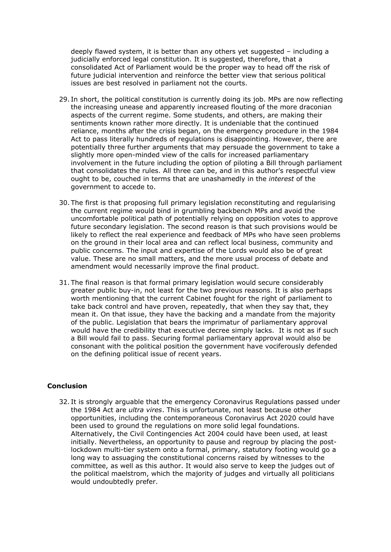deeply flawed system, it is better than any others yet suggested – including a judicially enforced legal constitution. It is suggested, therefore, that a consolidated Act of Parliament would be the proper way to head off the risk of future judicial intervention and reinforce the better view that serious political issues are best resolved in parliament not the courts.

- 29. In short, the political constitution is currently doing its job. MPs are now reflecting the increasing unease and apparently increased flouting of the more draconian aspects of the current regime. Some students, and others, are making their sentiments known rather more directly. It is undeniable that the continued reliance, months after the crisis began, on the emergency procedure in the 1984 Act to pass literally hundreds of regulations is disappointing. However, there are potentially three further arguments that may persuade the government to take a slightly more open-minded view of the calls for increased parliamentary involvement in the future including the option of piloting a Bill through parliament that consolidates the rules. All three can be, and in this author's respectful view ought to be, couched in terms that are unashamedly in the *interest* of the government to accede to.
- 30. The first is that proposing full primary legislation reconstituting and regularising the current regime would bind in grumbling backbench MPs and avoid the uncomfortable political path of potentially relying on opposition votes to approve future secondary legislation. The second reason is that such provisions would be likely to reflect the real experience and feedback of MPs who have seen problems on the ground in their local area and can reflect local business, community and public concerns. The input and expertise of the Lords would also be of great value. These are no small matters, and the more usual process of debate and amendment would necessarily improve the final product.
- 31. The final reason is that formal primary legislation would secure considerably greater public buy-in, not least for the two previous reasons. It is also perhaps worth mentioning that the current Cabinet fought for the right of parliament to take back control and have proven, repeatedly, that when they say that, they mean it. On that issue, they have the backing and a mandate from the majority of the public. Legislation that bears the imprimatur of parliamentary approval would have the credibility that executive decree simply lacks. It is not as if such a Bill would fail to pass. Securing formal parliamentary approval would also be consonant with the political position the government have vociferously defended on the defining political issue of recent years.

#### **Conclusion**

32. It is strongly arguable that the emergency Coronavirus Regulations passed under the 1984 Act are *ultra vires*. This is unfortunate, not least because other opportunities, including the contemporaneous Coronavirus Act 2020 could have been used to ground the regulations on more solid legal foundations. Alternatively, the Civil Contingencies Act 2004 could have been used, at least initially. Nevertheless, an opportunity to pause and regroup by placing the postlockdown multi-tier system onto a formal, primary, statutory footing would go a long way to assuaging the constitutional concerns raised by witnesses to the committee, as well as this author. It would also serve to keep the judges out of the political maelstrom, which the majority of judges and virtually all politicians would undoubtedly prefer.